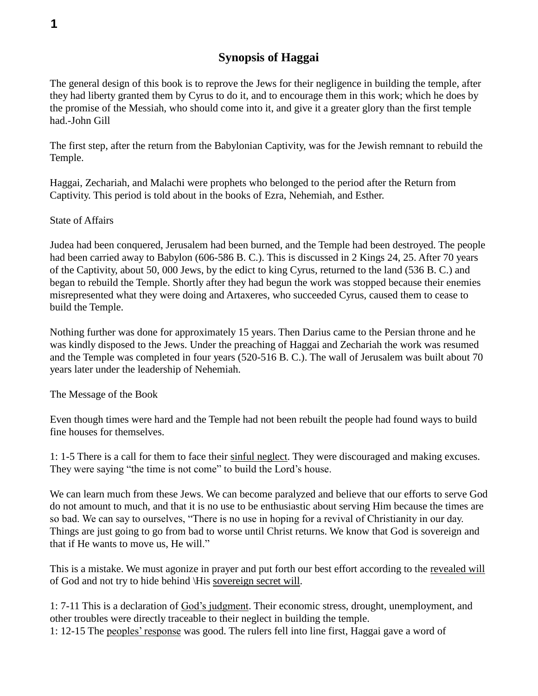## **Synopsis of Haggai**

The general design of this book is to reprove the Jews for their negligence in building the temple, after they had liberty granted them by Cyrus to do it, and to encourage them in this work; which he does by the promise of the Messiah, who should come into it, and give it a greater glory than the first temple had.-John Gill

The first step, after the return from the Babylonian Captivity, was for the Jewish remnant to rebuild the Temple.

Haggai, Zechariah, and Malachi were prophets who belonged to the period after the Return from Captivity. This period is told about in the books of Ezra, Nehemiah, and Esther.

State of Affairs

Judea had been conquered, Jerusalem had been burned, and the Temple had been destroyed. The people had been carried away to Babylon (606-586 B. C.). This is discussed in 2 Kings 24, 25. After 70 years of the Captivity, about 50, 000 Jews, by the edict to king Cyrus, returned to the land (536 B. C.) and began to rebuild the Temple. Shortly after they had begun the work was stopped because their enemies misrepresented what they were doing and Artaxeres, who succeeded Cyrus, caused them to cease to build the Temple.

Nothing further was done for approximately 15 years. Then Darius came to the Persian throne and he was kindly disposed to the Jews. Under the preaching of Haggai and Zechariah the work was resumed and the Temple was completed in four years (520-516 B. C.). The wall of Jerusalem was built about 70 years later under the leadership of Nehemiah.

The Message of the Book

Even though times were hard and the Temple had not been rebuilt the people had found ways to build fine houses for themselves.

1: 1-5 There is a call for them to face their sinful neglect. They were discouraged and making excuses. They were saying "the time is not come" to build the Lord's house.

We can learn much from these Jews. We can become paralyzed and believe that our efforts to serve God do not amount to much, and that it is no use to be enthusiastic about serving Him because the times are so bad. We can say to ourselves, "There is no use in hoping for a revival of Christianity in our day. Things are just going to go from bad to worse until Christ returns. We know that God is sovereign and that if He wants to move us, He will."

This is a mistake. We must agonize in prayer and put forth our best effort according to the revealed will of God and not try to hide behind \His sovereign secret will.

1: 7-11 This is a declaration of God's judgment. Their economic stress, drought, unemployment, and other troubles were directly traceable to their neglect in building the temple. 1: 12-15 The peoples' response was good. The rulers fell into line first, Haggai gave a word of